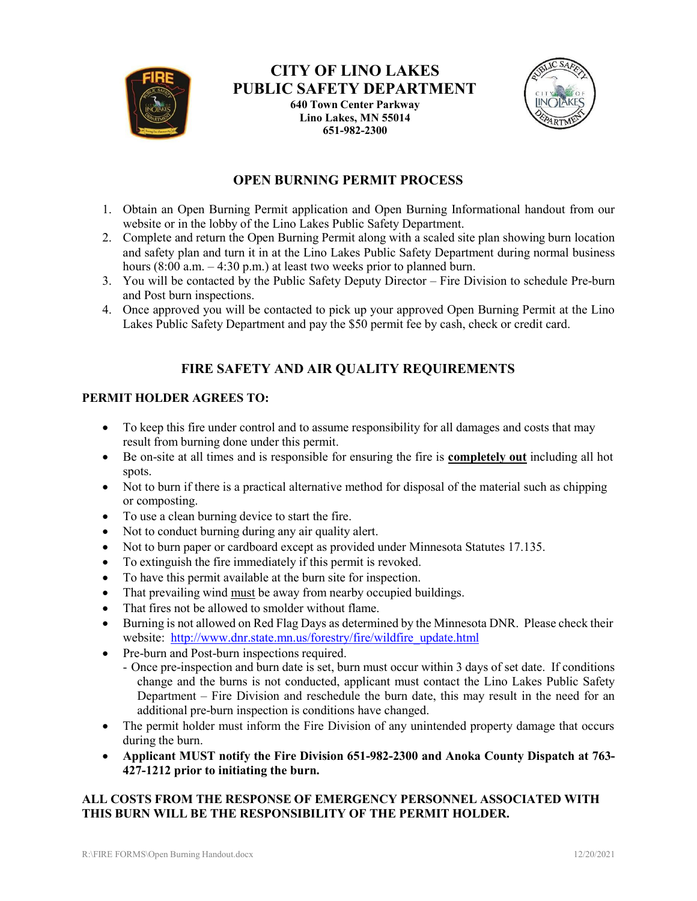

# **CITY OF LINO LAKES PUBLIC SAFETY DEPARTMENT**

**640 Town Center Parkway Lino Lakes, MN 55014 651-982-2300**



## **OPEN BURNING PERMIT PROCESS**

- 1. Obtain an Open Burning Permit application and Open Burning Informational handout from our website or in the lobby of the Lino Lakes Public Safety Department.
- 2. Complete and return the Open Burning Permit along with a scaled site plan showing burn location and safety plan and turn it in at the Lino Lakes Public Safety Department during normal business hours  $(8:00$  a.m.  $-4:30$  p.m.) at least two weeks prior to planned burn.
- 3. You will be contacted by the Public Safety Deputy Director Fire Division to schedule Pre-burn and Post burn inspections.
- 4. Once approved you will be contacted to pick up your approved Open Burning Permit at the Lino Lakes Public Safety Department and pay the \$50 permit fee by cash, check or credit card.

## **FIRE SAFETY AND AIR QUALITY REQUIREMENTS**

### **PERMIT HOLDER AGREES TO:**

- To keep this fire under control and to assume responsibility for all damages and costs that may result from burning done under this permit.
- Be on-site at all times and is responsible for ensuring the fire is **completely out** including all hot spots.
- Not to burn if there is a practical alternative method for disposal of the material such as chipping or composting.
- To use a clean burning device to start the fire.
- Not to conduct burning during any air quality alert.
- Not to burn paper or cardboard except as provided under Minnesota Statutes 17.135.
- To extinguish the fire immediately if this permit is revoked.
- To have this permit available at the burn site for inspection.
- That prevailing wind must be away from nearby occupied buildings.
- That fires not be allowed to smolder without flame.
- Burning is not allowed on Red Flag Days as determined by the Minnesota DNR. Please check their website: [http://www.dnr.state.mn.us/forestry/fire/wildfire\\_update.html](http://www.dnr.state.mn.us/forestry/fire/wildfire_update.html)
- Pre-burn and Post-burn inspections required.
	- Once pre-inspection and burn date is set, burn must occur within 3 days of set date. If conditions change and the burns is not conducted, applicant must contact the Lino Lakes Public Safety Department – Fire Division and reschedule the burn date, this may result in the need for an additional pre-burn inspection is conditions have changed.
- The permit holder must inform the Fire Division of any unintended property damage that occurs during the burn.
- **Applicant MUST notify the Fire Division 651-982-2300 and Anoka County Dispatch at 763- 427-1212 prior to initiating the burn.**

### **ALL COSTS FROM THE RESPONSE OF EMERGENCY PERSONNEL ASSOCIATED WITH THIS BURN WILL BE THE RESPONSIBILITY OF THE PERMIT HOLDER.**